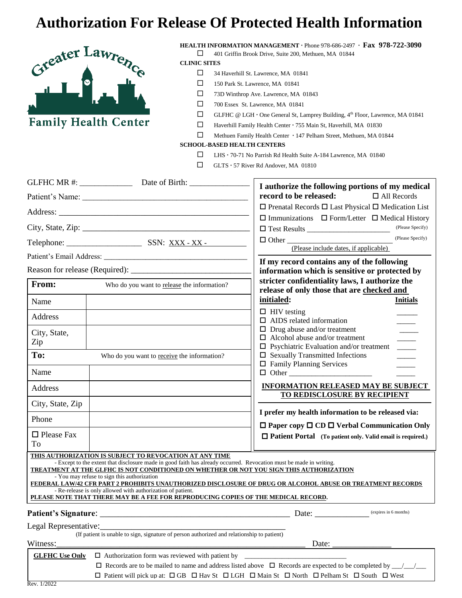## **Authorization For Release Of Protected Health Information**



**Family Health Center** 

**HEALTH INFORMATION MANAGEMENT** Phone 978-686-2497 **Fax 978-722-3090** 401 Griffin Brook Drive, Suite 200, Methuen, MA 01844

**CLINIC SITES**

- □ 34 Haverhill St. Lawrence, MA 01841
- 150 Park St. Lawrence, MA 01841
- 73D Winthrop Ave. Lawrence, MA 01843
- 700 Essex St. Lawrence, MA 01841
- $\Box$  GLFHC @ LGH · One General St, Lamprey Building,  $4^{\text{th}}$  Floor, Lawrence, MA 01841
- Haverhill Family Health Center · 755 Main St, Haverhill, MA 01830
- Methuen Family Health Center 147 Pelham Street, Methuen, MA 01844

## **SCHOOL-BASED HEALTH CENTERS**

- LHS 70-71 No Parrish Rd Health Suite A-184 Lawrence, MA 01840
- $\Box$  GLTS  $\cdot$  57 River Rd Andover, MA 01810

|                                                                                                                                          |                                                                                                                                                                                                                                                                                                                                                                                                                                                                              | I authorize the following portions of my medical                                                                                 |
|------------------------------------------------------------------------------------------------------------------------------------------|------------------------------------------------------------------------------------------------------------------------------------------------------------------------------------------------------------------------------------------------------------------------------------------------------------------------------------------------------------------------------------------------------------------------------------------------------------------------------|----------------------------------------------------------------------------------------------------------------------------------|
|                                                                                                                                          |                                                                                                                                                                                                                                                                                                                                                                                                                                                                              | record to be released:<br>$\Box$ All Records                                                                                     |
|                                                                                                                                          |                                                                                                                                                                                                                                                                                                                                                                                                                                                                              | $\Box$ Prenatal Records $\Box$ Last Physical $\Box$ Medication List                                                              |
|                                                                                                                                          |                                                                                                                                                                                                                                                                                                                                                                                                                                                                              | $\Box$ Immunizations $\Box$ Form/Letter $\Box$ Medical History<br>(Please Specify)                                               |
|                                                                                                                                          |                                                                                                                                                                                                                                                                                                                                                                                                                                                                              | (Please Specify)<br>(Please include dates, if applicable)                                                                        |
|                                                                                                                                          |                                                                                                                                                                                                                                                                                                                                                                                                                                                                              |                                                                                                                                  |
|                                                                                                                                          |                                                                                                                                                                                                                                                                                                                                                                                                                                                                              | If my record contains any of the following<br>information which is sensitive or protected by                                     |
| From:                                                                                                                                    | Who do you want to release the information?                                                                                                                                                                                                                                                                                                                                                                                                                                  | stricter confidentiality laws, I authorize the<br>release of only those that are checked and                                     |
| Name                                                                                                                                     |                                                                                                                                                                                                                                                                                                                                                                                                                                                                              | initialed:<br><b>Initials</b>                                                                                                    |
| Address                                                                                                                                  |                                                                                                                                                                                                                                                                                                                                                                                                                                                                              | $\Box$ HIV testing<br>$\Box$ AIDS related information                                                                            |
| City, State,<br>Zip                                                                                                                      |                                                                                                                                                                                                                                                                                                                                                                                                                                                                              | $\Box$ Drug abuse and/or treatment<br>$\Box$ Alcohol abuse and/or treatment<br>$\Box$ Psychiatric Evaluation and/or treatment    |
| To:                                                                                                                                      | Who do you want to receive the information?                                                                                                                                                                                                                                                                                                                                                                                                                                  | $\square$ Sexually Transmitted Infections<br>$\Box$ Family Planning Services                                                     |
| Name                                                                                                                                     |                                                                                                                                                                                                                                                                                                                                                                                                                                                                              |                                                                                                                                  |
| Address                                                                                                                                  |                                                                                                                                                                                                                                                                                                                                                                                                                                                                              | <b>INFORMATION RELEASED MAY BE SUBJECT</b><br>TO REDISCLOSURE BY RECIPIENT                                                       |
| City, State, Zip                                                                                                                         |                                                                                                                                                                                                                                                                                                                                                                                                                                                                              |                                                                                                                                  |
| Phone                                                                                                                                    |                                                                                                                                                                                                                                                                                                                                                                                                                                                                              | I prefer my health information to be released via:<br>$\Box$ Paper copy $\Box$ CD $\Box$ Verbal Communication Only               |
| $\Box$ Please Fax<br>To                                                                                                                  |                                                                                                                                                                                                                                                                                                                                                                                                                                                                              | $\Box$ Patient Portal (To patient only. Valid email is required.)                                                                |
|                                                                                                                                          | THIS AUTHORIZATION IS SUBJECT TO REVOCATION AT ANY TIME<br>- Except to the extent that disclosure made in good faith has already occurred. Revocation must be made in writing.<br>TREATMENT AT THE GLFHC IS NOT CONDITIONED ON WHETHER OR NOT YOU SIGN THIS AUTHORIZATION<br>- You may refuse to sign this authorization<br>- Re-release is only allowed with authorization of patient.<br>PLEASE NOTE THAT THERE MAY BE A FEE FOR REPRODUCING COPIES OF THE MEDICAL RECORD. | FEDERAL LAW/42 CFR PART 2 PROHIBITS UNAUTHORIZED DISCLOSURE OF DRUG OR ALCOHOL ABUSE OR TREATMENT RECORDS                        |
| <b>Patient's Signature:</b>                                                                                                              |                                                                                                                                                                                                                                                                                                                                                                                                                                                                              | (expires in 6 months)<br>Date:                                                                                                   |
| Legal Representative:                                                                                                                    |                                                                                                                                                                                                                                                                                                                                                                                                                                                                              |                                                                                                                                  |
| Witness:                                                                                                                                 | (If patient is unable to sign, signature of person authorized and relationship to patient)                                                                                                                                                                                                                                                                                                                                                                                   | Date: $\frac{1}{\sqrt{1-\frac{1}{2}}\cdot\frac{1}{2}}$                                                                           |
| <b>GLFHC Use Only</b>                                                                                                                    | $\Box$ Authorization form was reviewed with patient by                                                                                                                                                                                                                                                                                                                                                                                                                       |                                                                                                                                  |
|                                                                                                                                          |                                                                                                                                                                                                                                                                                                                                                                                                                                                                              | $\Box$ Records are to be mailed to name and address listed above $\Box$ Records are expected to be completed by $\Box/\Box/\Box$ |
| $\Box$ Patient will pick up at: $\Box$ GB $\Box$ Hav St $\Box$ LGH $\Box$ Main St $\Box$ North $\Box$ Pelham St $\Box$ South $\Box$ West |                                                                                                                                                                                                                                                                                                                                                                                                                                                                              |                                                                                                                                  |